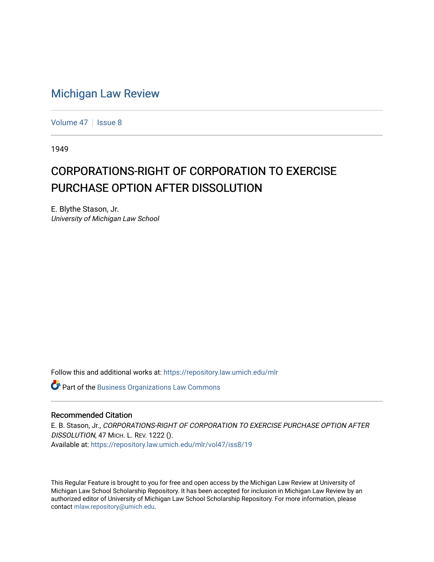## [Michigan Law Review](https://repository.law.umich.edu/mlr)

[Volume 47](https://repository.law.umich.edu/mlr/vol47) | [Issue 8](https://repository.law.umich.edu/mlr/vol47/iss8)

1949

## CORPORATIONS-RIGHT OF CORPORATION TO EXERCISE PURCHASE OPTION AFTER DISSOLUTION

E. Blythe Stason, Jr. University of Michigan Law School

Follow this and additional works at: [https://repository.law.umich.edu/mlr](https://repository.law.umich.edu/mlr?utm_source=repository.law.umich.edu%2Fmlr%2Fvol47%2Fiss8%2F19&utm_medium=PDF&utm_campaign=PDFCoverPages) 

**Part of the [Business Organizations Law Commons](http://network.bepress.com/hgg/discipline/900?utm_source=repository.law.umich.edu%2Fmlr%2Fvol47%2Fiss8%2F19&utm_medium=PDF&utm_campaign=PDFCoverPages)** 

## Recommended Citation

E. B. Stason, Jr., CORPORATIONS-RIGHT OF CORPORATION TO EXERCISE PURCHASE OPTION AFTER DISSOLUTION, 47 MICH. L. REV. 1222 (). Available at: [https://repository.law.umich.edu/mlr/vol47/iss8/19](https://repository.law.umich.edu/mlr/vol47/iss8/19?utm_source=repository.law.umich.edu%2Fmlr%2Fvol47%2Fiss8%2F19&utm_medium=PDF&utm_campaign=PDFCoverPages) 

This Regular Feature is brought to you for free and open access by the Michigan Law Review at University of Michigan Law School Scholarship Repository. It has been accepted for inclusion in Michigan Law Review by an authorized editor of University of Michigan Law School Scholarship Repository. For more information, please contact [mlaw.repository@umich.edu](mailto:mlaw.repository@umich.edu).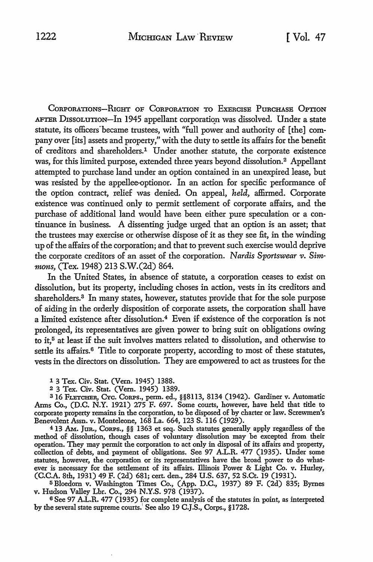CORPORATIONS-RIGHT OF CORPORATION TO EXERCISE PURCHASE OPTION AFTER DISSOLUTION-In 1945 appellant corporation was dissolved. Under a state statute, its officers became trustees, with "full power and authority of [the] company over [its] assets and property," with the duty to settle its affairs for the benefit of creditors and shareholders.1 Under another statute, the corporate existence was, for this limited purpose, extended three years beyond dissolution.2 Appellant attempted to purchase land under an option contained in an unexpired lease, but was resisted by the appellee-optionor. In an action for specific performance of the option contract, relief was denied. On appeal, *held,* affirmed. Corporate existence was continued only to permit settlement of corporate affairs, and the purchase of additional land would have been either pure speculation or a continuance in business. A dissenting judge urged that an option is an asset; that the trustees may exercise or otherwise dispose of it as they see fit, in the winding up of the affairs of the corporation; and that to prevent such exercise would deprive the corporate creditors of an asset of the corporation. *Nardis Sportswear v. Simmons,* (Tex. 1948) 213 S.W.(2d) 864.

In the United States, in absence of statute, a corporation ceases to exist on dissolution, but its property, including choses in action, vests in its creditors and shareholders.<sup>3</sup> In many states, however, statutes provide that for the sole purpose of aiding in the orderly disposition of corporate assets, the corporation shall have a limited existence after dissolution.4 Even if existence of the corporation is not prolonged, its representatives are given power to bring suit on obligations owing to it,<sup>5</sup> at least if the suit involves matters related to dissolution, and otherwise to settle its affairs. 6 Title *to* corporate property, according to most of these statutes, vests in the directors on dissolution. They are empowered to act as trustees for the

1 3 Tex. Civ. Stat. (Vern. 1945) 1388.

2 3 Tex. Civ. Stat. (Vern. 1945) 1389.

3 16 FLETCHER, CYc. CoRPs., perm. ed., §§8113, 8134 (1942). Gardiner v. Automatic Arms Co., (D.C. N.Y. 1921) 275 F. 697. Some courts, however, have held that title to corporate property remains in the corporation, to be disposed of by charter or law. Screwmen's Benevolent Assn. v. Monteleone, 168 La. 664, 123 S. 116 (1929).

<sup>4</sup>13 AM. Jun., ConPs., §§ 1363 et seq. Such statutes generally apply regardless of the method of dissolution, though cases of voluntary dissolution may be excepted from their operation. They may permit the corporation to act only in disposal of its affairs and property, collection of debts, and payment of obligations. See 97 A.L.R. 477 (1935). Under some statutes, however, the corporation or its representatives have the broad power to do whatever is necessary for the settlement of its affairs. Illinois Power & Light Co. v. Hurley, (C.C.A. 8th, 1931) 49 F. (2d) 681; cert. den., 284 U.S. 637, 52 S.Ct. 19 (1931).

<sup>5</sup> Bloedom v. Washington Times Co., (App. D.C., 1937) 89 F. (2d) 835; Byrnes v. Hudson Valley Lbr. Co., 294 N.Y.S. 978 (1937).

<sup>6</sup>See 97 A.L.R. 477 (1935) for complete analysis of the statutes in point, as interpreted by the several state supreme courts.' See also 19 C.J.S., Corps., §1728.